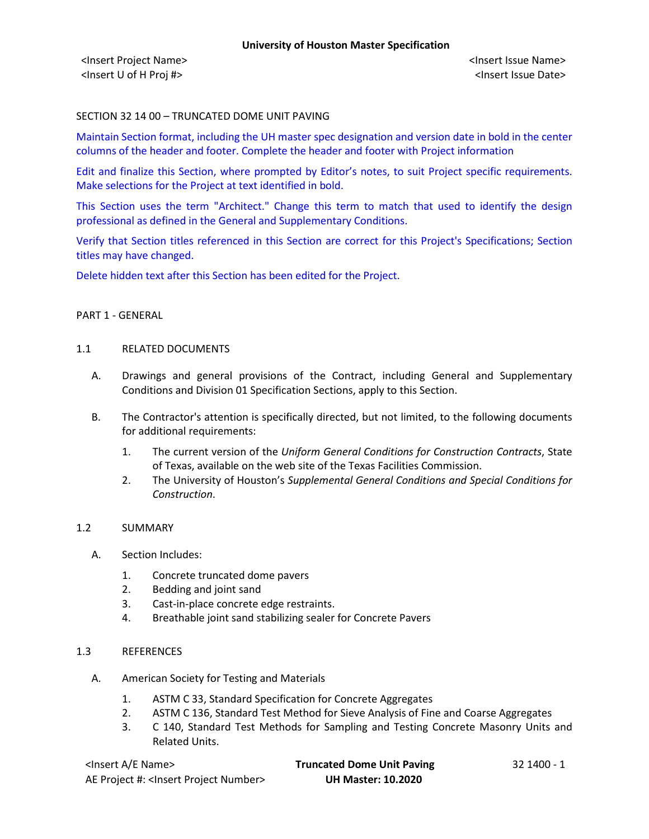# SECTION 32 14 00 – TRUNCATED DOME UNIT PAVING

Maintain Section format, including the UH master spec designation and version date in bold in the center columns of the header and footer. Complete the header and footer with Project information

Edit and finalize this Section, where prompted by Editor's notes, to suit Project specific requirements. Make selections for the Project at text identified in bold.

This Section uses the term "Architect." Change this term to match that used to identify the design professional as defined in the General and Supplementary Conditions.

Verify that Section titles referenced in this Section are correct for this Project's Specifications; Section titles may have changed.

Delete hidden text after this Section has been edited for the Project.

### PART 1 - GENERAL

### 1.1 RELATED DOCUMENTS

- A. Drawings and general provisions of the Contract, including General and Supplementary Conditions and Division 01 Specification Sections, apply to this Section.
- B. The Contractor's attention is specifically directed, but not limited, to the following documents for additional requirements:
	- 1. The current version of the *Uniform General Conditions for Construction Contracts*, State of Texas, available on the web site of the Texas Facilities Commission.
	- 2. The University of Houston's *Supplemental General Conditions and Special Conditions for Construction*.

### 1.2 SUMMARY

- A. Section Includes:
	- 1. Concrete truncated dome pavers
	- 2. Bedding and joint sand
	- 3. Cast-in-place concrete edge restraints.
	- 4. Breathable joint sand stabilizing sealer for Concrete Pavers

### 1.3 REFERENCES

- A. American Society for Testing and Materials
	- 1. ASTM C 33, Standard Specification for Concrete Aggregates
	- 2. ASTM C 136, Standard Test Method for Sieve Analysis of Fine and Coarse Aggregates
	- 3. C 140, Standard Test Methods for Sampling and Testing Concrete Masonry Units and Related Units.

| <lnsert a="" e="" name=""></lnsert>                  | <b>Truncated Dome Unit Paving</b> | ּב - 32 1400 |
|------------------------------------------------------|-----------------------------------|--------------|
| AE Project #: <lnsert number="" project=""></lnsert> | <b>UH Master: 10.2020</b>         |              |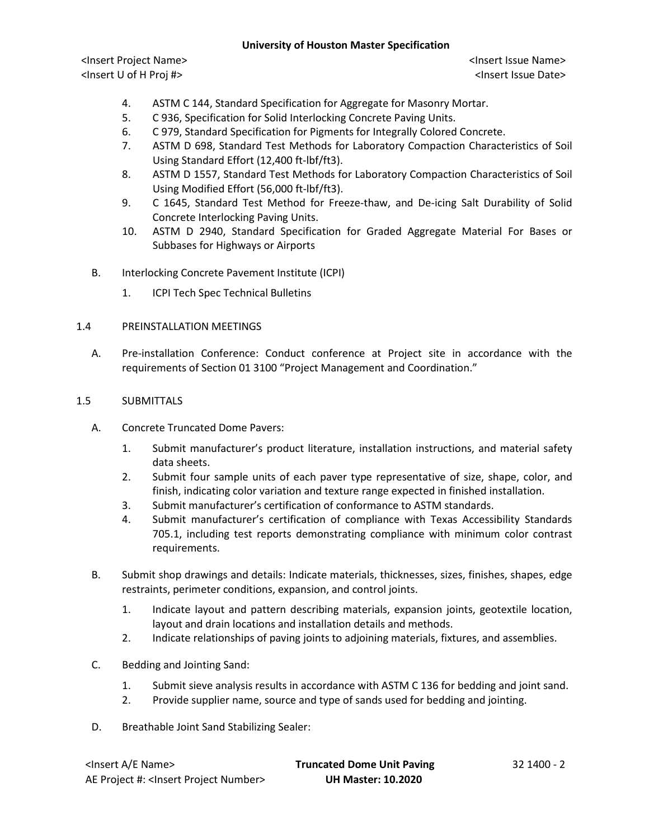<Insert Project Name> <Insert Issue Name> <Insert U of H Proj #> <Insert Issue Date>

- 4. ASTM C 144, Standard Specification for Aggregate for Masonry Mortar.
- 5. C 936, Specification for Solid Interlocking Concrete Paving Units.
- 6. C 979, Standard Specification for Pigments for Integrally Colored Concrete.
- 7. ASTM D 698, Standard Test Methods for Laboratory Compaction Characteristics of Soil Using Standard Effort (12,400 ft-lbf/ft3).
- 8. ASTM D 1557, Standard Test Methods for Laboratory Compaction Characteristics of Soil Using Modified Effort (56,000 ft-lbf/ft3).
- 9. C 1645, Standard Test Method for Freeze-thaw, and De-icing Salt Durability of Solid Concrete Interlocking Paving Units.
- 10. ASTM D 2940, Standard Specification for Graded Aggregate Material For Bases or Subbases for Highways or Airports
- B. Interlocking Concrete Pavement Institute (ICPI)
	- 1. ICPI Tech Spec Technical Bulletins

### 1.4 PREINSTALLATION MEETINGS

A. Pre-installation Conference: Conduct conference at Project site in accordance with the requirements of Section 01 3100 "Project Management and Coordination."

### 1.5 SUBMITTALS

- A. Concrete Truncated Dome Pavers:
	- 1. Submit manufacturer's product literature, installation instructions, and material safety data sheets.
	- 2. Submit four sample units of each paver type representative of size, shape, color, and finish, indicating color variation and texture range expected in finished installation.
	- 3. Submit manufacturer's certification of conformance to ASTM standards.
	- 4. Submit manufacturer's certification of compliance with Texas Accessibility Standards 705.1, including test reports demonstrating compliance with minimum color contrast requirements.
- B. Submit shop drawings and details: Indicate materials, thicknesses, sizes, finishes, shapes, edge restraints, perimeter conditions, expansion, and control joints.
	- 1. Indicate layout and pattern describing materials, expansion joints, geotextile location, layout and drain locations and installation details and methods.
	- 2. Indicate relationships of paving joints to adjoining materials, fixtures, and assemblies.
- C. Bedding and Jointing Sand:
	- 1. Submit sieve analysis results in accordance with ASTM C 136 for bedding and joint sand.
	- 2. Provide supplier name, source and type of sands used for bedding and jointing.
- D. Breathable Joint Sand Stabilizing Sealer:

| <lnsert a="" e="" name=""></lnsert>                  | <b>Truncated Dome Unit Paving</b> | 32 1400 - 2 |
|------------------------------------------------------|-----------------------------------|-------------|
| AE Project #: <lnsert number="" project=""></lnsert> | <b>UH Master: 10.2020</b>         |             |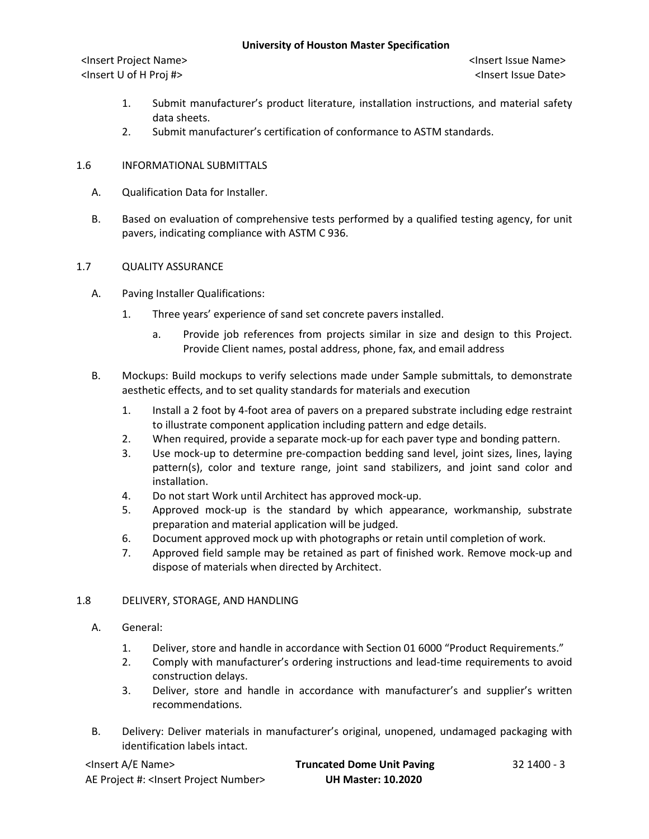- 1. Submit manufacturer's product literature, installation instructions, and material safety data sheets.
- 2. Submit manufacturer's certification of conformance to ASTM standards.

# 1.6 INFORMATIONAL SUBMITTALS

- A. Qualification Data for Installer.
- B. Based on evaluation of comprehensive tests performed by a qualified testing agency, for unit pavers, indicating compliance with ASTM C 936.

### 1.7 QUALITY ASSURANCE

- A. Paving Installer Qualifications:
	- 1. Three years' experience of sand set concrete pavers installed.
		- a. Provide job references from projects similar in size and design to this Project. Provide Client names, postal address, phone, fax, and email address
- B. Mockups: Build mockups to verify selections made under Sample submittals, to demonstrate aesthetic effects, and to set quality standards for materials and execution
	- 1. Install a 2 foot by 4-foot area of pavers on a prepared substrate including edge restraint to illustrate component application including pattern and edge details.
	- 2. When required, provide a separate mock-up for each paver type and bonding pattern.
	- 3. Use mock-up to determine pre-compaction bedding sand level, joint sizes, lines, laying pattern(s), color and texture range, joint sand stabilizers, and joint sand color and installation.
	- 4. Do not start Work until Architect has approved mock-up.
	- 5. Approved mock-up is the standard by which appearance, workmanship, substrate preparation and material application will be judged.
	- 6. Document approved mock up with photographs or retain until completion of work.
	- 7. Approved field sample may be retained as part of finished work. Remove mock-up and dispose of materials when directed by Architect.

# 1.8 DELIVERY, STORAGE, AND HANDLING

- A. General:
	- 1. Deliver, store and handle in accordance with Section 01 6000 "Product Requirements."
	- 2. Comply with manufacturer's ordering instructions and lead-time requirements to avoid construction delays.
	- 3. Deliver, store and handle in accordance with manufacturer's and supplier's written recommendations.
- B. Delivery: Deliver materials in manufacturer's original, unopened, undamaged packaging with identification labels intact.

| <lnsert a="" e="" name=""></lnsert>                  | <b>Truncated Dome Unit Paving</b> | 32 1400 - 3 |
|------------------------------------------------------|-----------------------------------|-------------|
| AE Project #: <lnsert number="" project=""></lnsert> | <b>UH Master: 10.2020</b>         |             |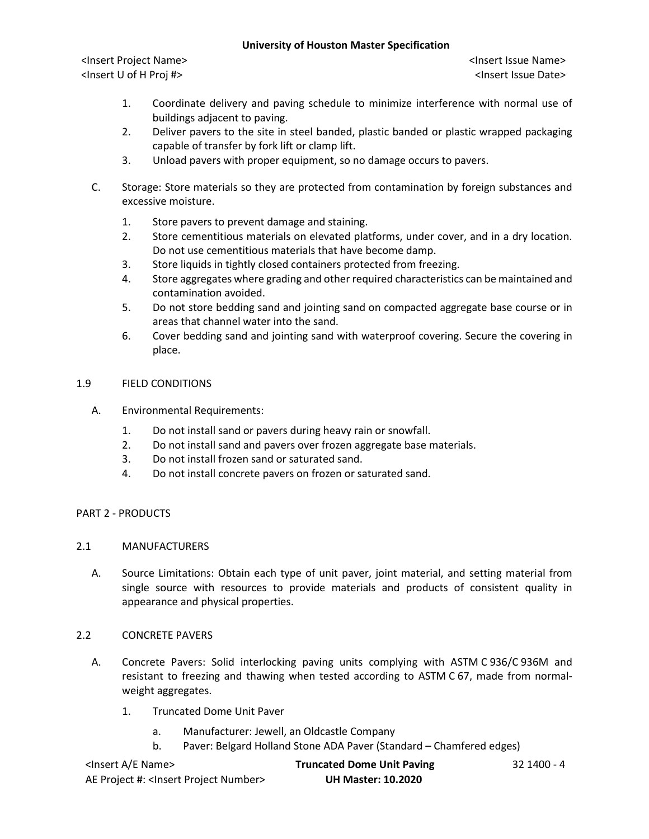<Insert Project Name> <Insert Issue Name> <Insert U of H Proj #> <Insert Issue Date>

- 1. Coordinate delivery and paving schedule to minimize interference with normal use of buildings adjacent to paving.
- 2. Deliver pavers to the site in steel banded, plastic banded or plastic wrapped packaging capable of transfer by fork lift or clamp lift.
- 3. Unload pavers with proper equipment, so no damage occurs to pavers.
- C. Storage: Store materials so they are protected from contamination by foreign substances and excessive moisture.
	- 1. Store pavers to prevent damage and staining.
	- 2. Store cementitious materials on elevated platforms, under cover, and in a dry location. Do not use cementitious materials that have become damp.
	- 3. Store liquids in tightly closed containers protected from freezing.
	- 4. Store aggregates where grading and other required characteristics can be maintained and contamination avoided.
	- 5. Do not store bedding sand and jointing sand on compacted aggregate base course or in areas that channel water into the sand.
	- 6. Cover bedding sand and jointing sand with waterproof covering. Secure the covering in place.

### 1.9 FIELD CONDITIONS

- A. Environmental Requirements:
	- 1. Do not install sand or pavers during heavy rain or snowfall.
	- 2. Do not install sand and pavers over frozen aggregate base materials.
	- 3. Do not install frozen sand or saturated sand.
	- 4. Do not install concrete pavers on frozen or saturated sand.

# PART 2 - PRODUCTS

# 2.1 MANUFACTURERS

A. Source Limitations: Obtain each type of unit paver, joint material, and setting material from single source with resources to provide materials and products of consistent quality in appearance and physical properties.

# 2.2 CONCRETE PAVERS

- A. Concrete Pavers: Solid interlocking paving units complying with ASTM C 936/C 936M and resistant to freezing and thawing when tested according to ASTM C 67, made from normalweight aggregates.
	- 1. Truncated Dome Unit Paver
		- a. Manufacturer: Jewell, an Oldcastle Company
		- b. Paver: Belgard Holland Stone ADA Paver (Standard Chamfered edges)

| <lnsert a="" e="" name=""></lnsert>                  | <b>Truncated Dome Unit Paving</b> | 32 1400 - 4 |
|------------------------------------------------------|-----------------------------------|-------------|
| AE Project #: <lnsert number="" project=""></lnsert> | <b>UH Master: 10.2020</b>         |             |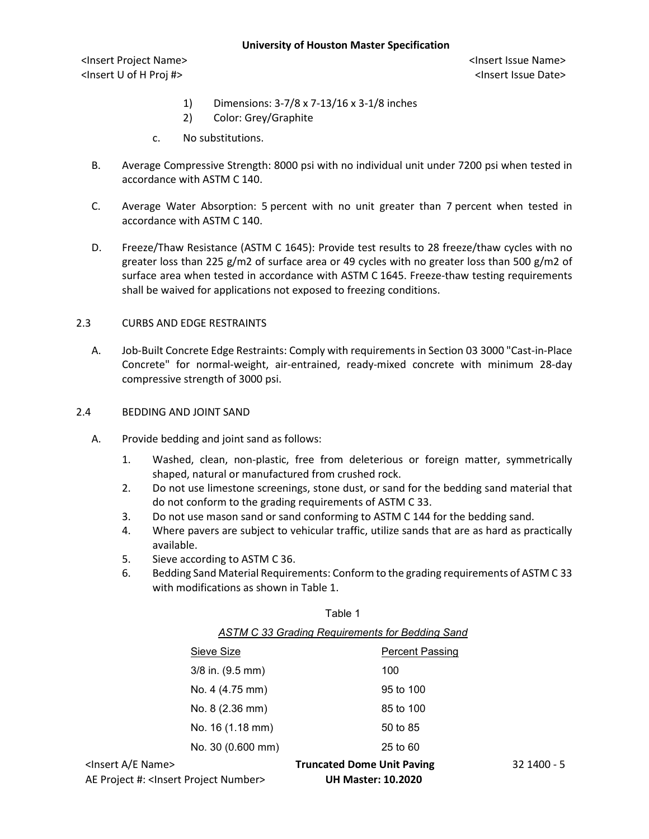- 1) Dimensions: 3-7/8 x 7-13/16 x 3-1/8 inches
- 2) Color: Grey/Graphite
- c. No substitutions.
- B. Average Compressive Strength: 8000 psi with no individual unit under 7200 psi when tested in accordance with ASTM C 140.
- C. Average Water Absorption: 5 percent with no unit greater than 7 percent when tested in accordance with ASTM C 140.
- D. Freeze/Thaw Resistance (ASTM C 1645): Provide test results to 28 freeze/thaw cycles with no greater loss than 225 g/m2 of surface area or 49 cycles with no greater loss than 500 g/m2 of surface area when tested in accordance with ASTM C 1645. Freeze-thaw testing requirements shall be waived for applications not exposed to freezing conditions.

# 2.3 CURBS AND EDGE RESTRAINTS

A. Job-Built Concrete Edge Restraints: Comply with requirements in Section 03 3000 "Cast-in-Place Concrete" for normal-weight, air-entrained, ready-mixed concrete with minimum 28-day compressive strength of 3000 psi.

#### 2.4 BEDDING AND JOINT SAND

- A. Provide bedding and joint sand as follows:
	- 1. Washed, clean, non-plastic, free from deleterious or foreign matter, symmetrically shaped, natural or manufactured from crushed rock.
	- 2. Do not use limestone screenings, stone dust, or sand for the bedding sand material that do not conform to the grading requirements of ASTM C 33.
	- 3. Do not use mason sand or sand conforming to ASTM C 144 for the bedding sand.
	- 4. Where pavers are subject to vehicular traffic, utilize sands that are as hard as practically available.
	- 5. Sieve according to ASTM C 36.
	- 6. Bedding Sand Material Requirements: Conform to the grading requirements of ASTM C 33 with modifications as shown in Table 1.

| н.<br>┑ |  |
|---------|--|
|---------|--|

| <b>ASTM C 33 Grading Requirements for Bedding Sand</b> |
|--------------------------------------------------------|
|--------------------------------------------------------|

| <insert a="" e="" name=""><br/><math>\mathbf{A} \mathbf{E}</math> . The set of the set of the set of <math>\mathbf{A} \mathbf{E}</math> . The set of <math>\mathbf{A} \mathbf{E}</math></insert> |                      | <b>Truncated Dome Unit Paving</b> |                        | 32 1400 - 5 |
|--------------------------------------------------------------------------------------------------------------------------------------------------------------------------------------------------|----------------------|-----------------------------------|------------------------|-------------|
|                                                                                                                                                                                                  | No. 30 (0.600 mm)    |                                   | 25 to 60               |             |
|                                                                                                                                                                                                  | No. 16 (1.18 mm)     |                                   | 50 to 85               |             |
|                                                                                                                                                                                                  | No. 8 (2.36 mm)      |                                   | 85 to 100              |             |
|                                                                                                                                                                                                  | No. 4 (4.75 mm)      |                                   | 95 to 100              |             |
|                                                                                                                                                                                                  | $3/8$ in. $(9.5$ mm) |                                   | 100                    |             |
|                                                                                                                                                                                                  | Sieve Size           |                                   | <b>Percent Passing</b> |             |
|                                                                                                                                                                                                  |                      |                                   |                        |             |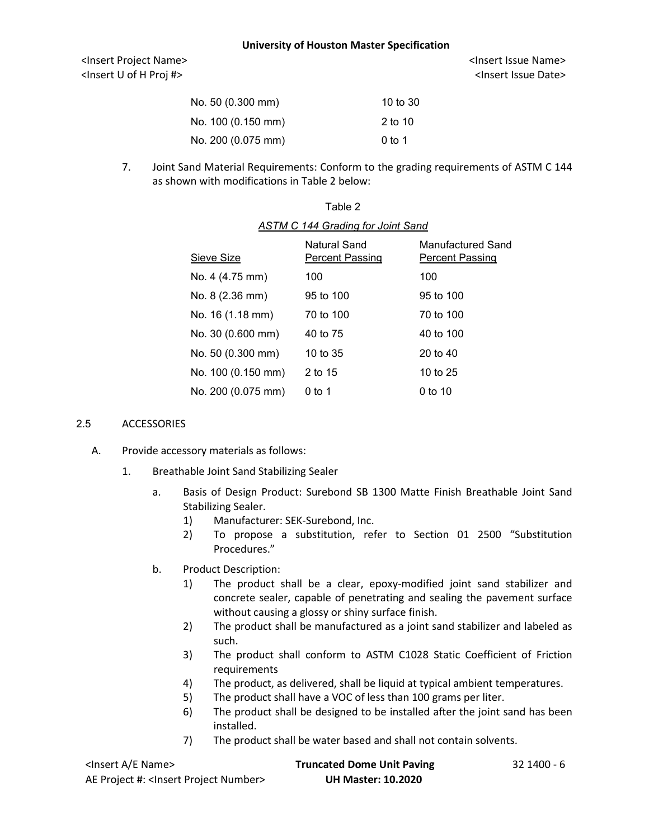| No. 50 (0.300 mm)  | 10 to $30$ |
|--------------------|------------|
| No. 100 (0.150 mm) | $2$ to 10  |
| No. 200 (0.075 mm) | $0$ to 1   |

7. Joint Sand Material Requirements: Conform to the grading requirements of ASTM C 144 as shown with modifications in Table 2 below:

| Sieve Size         | Natural Sand<br><b>Percent Passing</b> | Manufactured Sand<br><b>Percent Passing</b> |
|--------------------|----------------------------------------|---------------------------------------------|
| No. 4 (4.75 mm)    | 100                                    | 100                                         |
| No. 8 (2.36 mm)    | 95 to 100                              | 95 to 100                                   |
| No. 16 (1.18 mm)   | 70 to 100                              | 70 to 100                                   |
| No. 30 (0.600 mm)  | 40 to 75                               | 40 to 100                                   |
| No. 50 (0.300 mm)  | 10 to 35                               | 20 to $40$                                  |
| No. 100 (0.150 mm) | 2 to 15                                | 10 to 25                                    |
| No. 200 (0.075 mm) | $0$ to 1                               | 0 to 10                                     |

# Table 2 *ASTM C 144 Grading for Joint Sand*

#### 2.5 ACCESSORIES

- A. Provide accessory materials as follows:
	- 1. Breathable Joint Sand Stabilizing Sealer
		- a. Basis of Design Product: Surebond SB 1300 Matte Finish Breathable Joint Sand Stabilizing Sealer.
			- 1) Manufacturer: SEK-Surebond, Inc.
			- 2) To propose a substitution, refer to Section 01 2500 "Substitution Procedures."
		- b. Product Description:
			- 1) The product shall be a clear, epoxy-modified joint sand stabilizer and concrete sealer, capable of penetrating and sealing the pavement surface without causing a glossy or shiny surface finish.
			- 2) The product shall be manufactured as a joint sand stabilizer and labeled as such.
			- 3) The product shall conform to ASTM C1028 Static Coefficient of Friction requirements
			- 4) The product, as delivered, shall be liquid at typical ambient temperatures.
			- 5) The product shall have a VOC of less than 100 grams per liter.
			- 6) The product shall be designed to be installed after the joint sand has been installed.
			- 7) The product shall be water based and shall not contain solvents.

| <lnsert a="" e="" name=""></lnsert>                  | <b>Truncated Dome Unit Paving</b> | 32 1400 - 6 |
|------------------------------------------------------|-----------------------------------|-------------|
| AE Project #: <lnsert number="" project=""></lnsert> | <b>UH Master: 10.2020</b>         |             |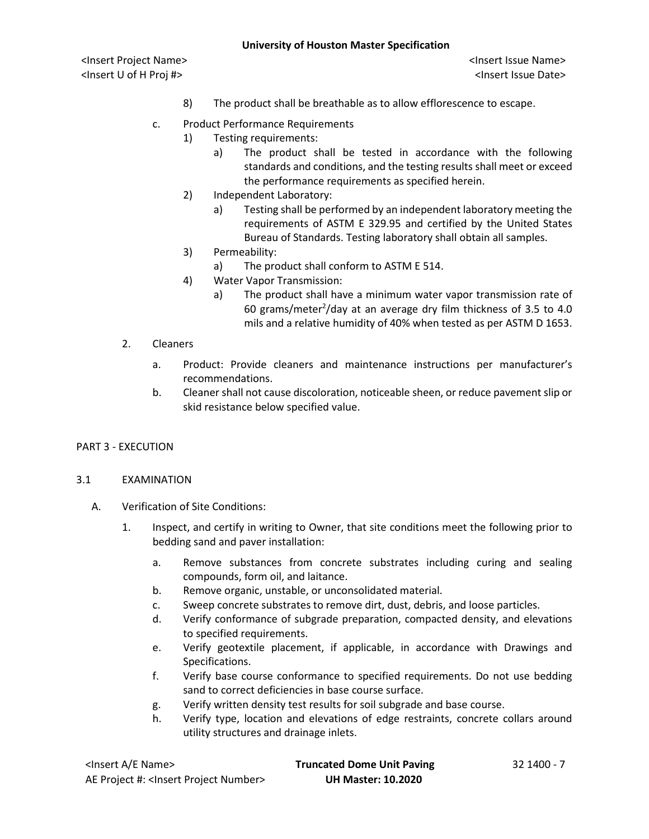<Insert Project Name> <Insert Issue Name> <Insert U of H Proj #> <Insert Issue Date>

- 8) The product shall be breathable as to allow efflorescence to escape.
- c. Product Performance Requirements
	- 1) Testing requirements:
		- a) The product shall be tested in accordance with the following standards and conditions, and the testing results shall meet or exceed the performance requirements as specified herein.
	- 2) Independent Laboratory:
		- a) Testing shall be performed by an independent laboratory meeting the requirements of ASTM E 329.95 and certified by the United States Bureau of Standards. Testing laboratory shall obtain all samples.
	- 3) Permeability:
		- a) The product shall conform to ASTM E 514.
	- 4) Water Vapor Transmission:
		- a) The product shall have a minimum water vapor transmission rate of 60 grams/meter $^{2}$ /day at an average dry film thickness of 3.5 to 4.0 mils and a relative humidity of 40% when tested as per ASTM D 1653.
- 2. Cleaners
	- a. Product: Provide cleaners and maintenance instructions per manufacturer's recommendations.
	- b. Cleaner shall not cause discoloration, noticeable sheen, or reduce pavement slip or skid resistance below specified value.

### PART 3 - EXECUTION

#### 3.1 EXAMINATION

- A. Verification of Site Conditions:
	- 1. Inspect, and certify in writing to Owner, that site conditions meet the following prior to bedding sand and paver installation:
		- a. Remove substances from concrete substrates including curing and sealing compounds, form oil, and laitance.
		- b. Remove organic, unstable, or unconsolidated material.
		- c. Sweep concrete substrates to remove dirt, dust, debris, and loose particles.
		- d. Verify conformance of subgrade preparation, compacted density, and elevations to specified requirements.
		- e. Verify geotextile placement, if applicable, in accordance with Drawings and Specifications.
		- f. Verify base course conformance to specified requirements. Do not use bedding sand to correct deficiencies in base course surface.
		- g. Verify written density test results for soil subgrade and base course.
		- h. Verify type, location and elevations of edge restraints, concrete collars around utility structures and drainage inlets.

| <lnsert a="" e="" name=""></lnsert>                  | <b>Truncated Dome Unit Paving</b> | 32 1400 - 7 |
|------------------------------------------------------|-----------------------------------|-------------|
| AE Project #: <lnsert number="" project=""></lnsert> | <b>UH Master: 10.2020</b>         |             |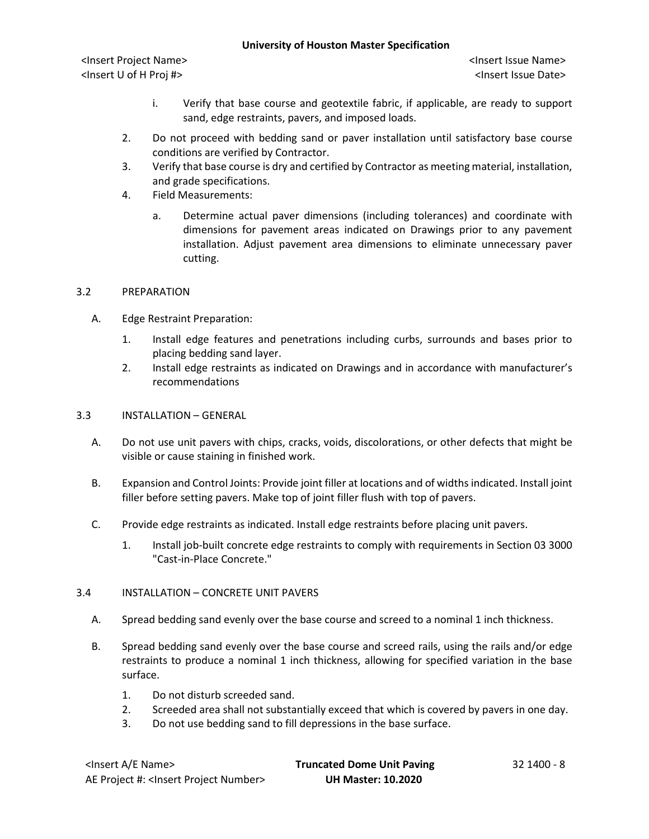<Insert Project Name> <Insert Issue Name> <Insert U of H Proj #> <Insert Issue Date>

- i. Verify that base course and geotextile fabric, if applicable, are ready to support sand, edge restraints, pavers, and imposed loads.
- 2. Do not proceed with bedding sand or paver installation until satisfactory base course conditions are verified by Contractor.
- 3. Verify that base course is dry and certified by Contractor as meeting material, installation, and grade specifications.
- 4. Field Measurements:
	- a. Determine actual paver dimensions (including tolerances) and coordinate with dimensions for pavement areas indicated on Drawings prior to any pavement installation. Adjust pavement area dimensions to eliminate unnecessary paver cutting.

### 3.2 PREPARATION

- A. Edge Restraint Preparation:
	- 1. Install edge features and penetrations including curbs, surrounds and bases prior to placing bedding sand layer.
	- 2. Install edge restraints as indicated on Drawings and in accordance with manufacturer's recommendations
- 3.3 INSTALLATION GENERAL
	- A. Do not use unit pavers with chips, cracks, voids, discolorations, or other defects that might be visible or cause staining in finished work.
	- B. Expansion and Control Joints: Provide joint filler at locations and of widths indicated. Install joint filler before setting pavers. Make top of joint filler flush with top of pavers.
	- C. Provide edge restraints as indicated. Install edge restraints before placing unit pavers.
		- 1. Install job-built concrete edge restraints to comply with requirements in Section 03 3000 "Cast-in-Place Concrete."

### 3.4 INSTALLATION – CONCRETE UNIT PAVERS

- A. Spread bedding sand evenly over the base course and screed to a nominal 1 inch thickness.
- B. Spread bedding sand evenly over the base course and screed rails, using the rails and/or edge restraints to produce a nominal 1 inch thickness, allowing for specified variation in the base surface.
	- 1. Do not disturb screeded sand.
	- 2. Screeded area shall not substantially exceed that which is covered by pavers in one day.
	- 3. Do not use bedding sand to fill depressions in the base surface.

| <lnsert a="" e="" name=""></lnsert>                  | <b>Truncated Dome Unit Paving</b> | 32 1400 - 8 |
|------------------------------------------------------|-----------------------------------|-------------|
| AE Project #: <lnsert number="" project=""></lnsert> | <b>UH Master: 10.2020</b>         |             |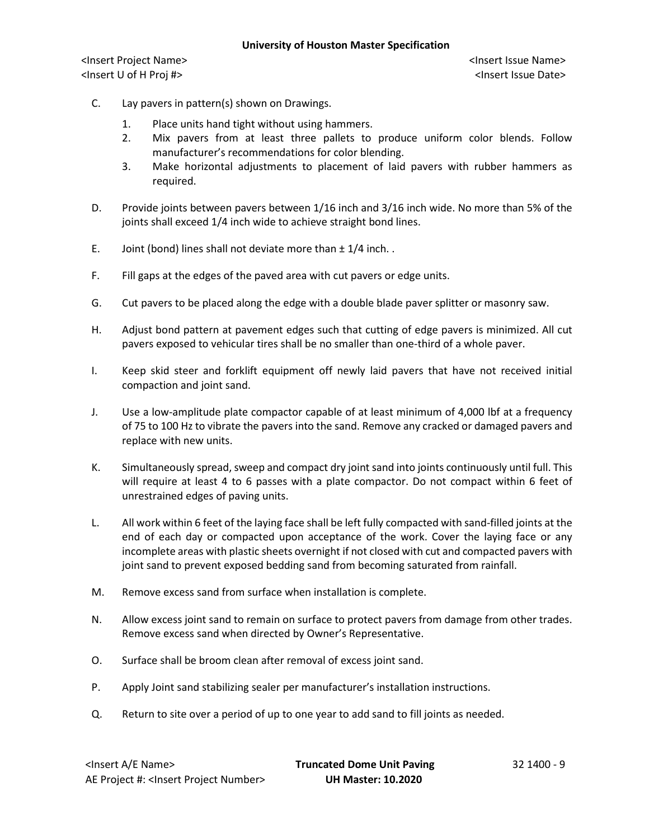- C. Lay pavers in pattern(s) shown on Drawings.
	- 1. Place units hand tight without using hammers.
	- 2. Mix pavers from at least three pallets to produce uniform color blends. Follow manufacturer's recommendations for color blending.
	- 3. Make horizontal adjustments to placement of laid pavers with rubber hammers as required.
- D. Provide joints between pavers between 1/16 inch and 3/16 inch wide. No more than 5% of the joints shall exceed 1/4 inch wide to achieve straight bond lines.
- E. Joint (bond) lines shall not deviate more than  $\pm 1/4$  inch..
- F. Fill gaps at the edges of the paved area with cut pavers or edge units.
- G. Cut pavers to be placed along the edge with a double blade paver splitter or masonry saw.
- H. Adjust bond pattern at pavement edges such that cutting of edge pavers is minimized. All cut pavers exposed to vehicular tires shall be no smaller than one-third of a whole paver.
- I. Keep skid steer and forklift equipment off newly laid pavers that have not received initial compaction and joint sand.
- J. Use a low-amplitude plate compactor capable of at least minimum of 4,000 lbf at a frequency of 75 to 100 Hz to vibrate the pavers into the sand. Remove any cracked or damaged pavers and replace with new units.
- K. Simultaneously spread, sweep and compact dry joint sand into joints continuously until full. This will require at least 4 to 6 passes with a plate compactor. Do not compact within 6 feet of unrestrained edges of paving units.
- L. All work within 6 feet of the laying face shall be left fully compacted with sand-filled joints at the end of each day or compacted upon acceptance of the work. Cover the laying face or any incomplete areas with plastic sheets overnight if not closed with cut and compacted pavers with joint sand to prevent exposed bedding sand from becoming saturated from rainfall.
- M. Remove excess sand from surface when installation is complete.
- N. Allow excess joint sand to remain on surface to protect pavers from damage from other trades. Remove excess sand when directed by Owner's Representative.
- O. Surface shall be broom clean after removal of excess joint sand.
- P. Apply Joint sand stabilizing sealer per manufacturer's installation instructions.
- Q. Return to site over a period of up to one year to add sand to fill joints as needed.